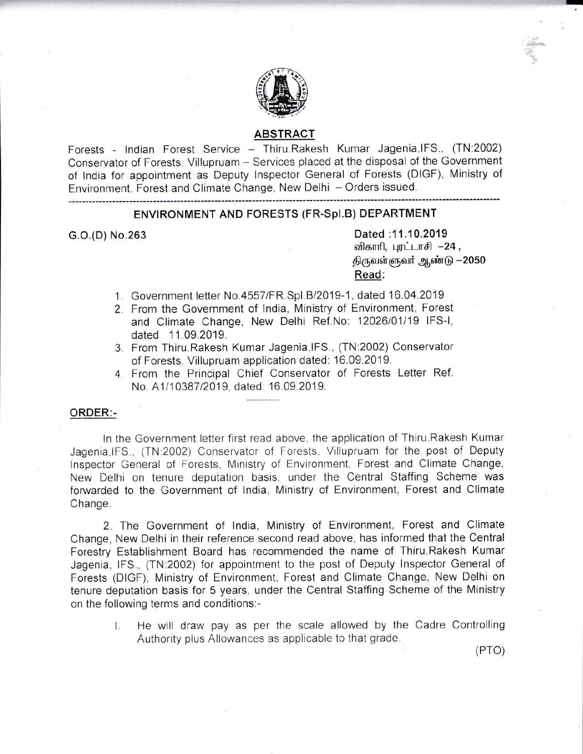

## ABSTRACT

Forests - Indian Forest Service - Thiru.Rakesh Kumar Jagenia, IFS., (TN:2002) Conservator of Forests, Villupruam - Services placed at the disposal of the Government of lndia for appointment as Deputy lnspector General of Forests (DIGF), Ministry of Environment, Forest and Climate Change, New Delhi - Orders issued.

#### ENVIRONMENT AND FORESTS (FR-Spl.B) DEPARTMENT

G.O.(D) No.263 Dated :11.10.2019 விகாரி, புரட்டாசி  $-24$ , திருவள்ளுவர் ஆண்டு -2050 Read:

- 1. Government letter No.4557/FR.Spl.B/2019-1, dated 16.04.2019
- 2. From the Government of India, Ministry of Environment, Forest and Climate Change, New Delhi Ref.No: 12026/01/19 IFS-I, dated 11.09.2019.
- From Thiru.Rakesh Kumar Jagenia,lFS., (TN:2002) Conservator of Forests, Villupruam application dated: 16.09.2019.
- From the Principal Chief Conservator of Forests Letter Ref. No. A1/10387/2019, dated: 16.09.2019.

### ORDER:-

ln the Government letter first read above, the application of Thiru.Rakesh Kumar Jagenia,lFS., (TN.2002) Conservator of Forests, Villupruam for the post of Deputy lnspector General of Forests, Ministry of Environment, Forest and Climate Change, New Delhi on tenure deputation basis, under the Central Staffing Scheme was forwarded to the Government of India, Ministry of Environment, Forest and Climate Change.

2. The Government of lndia, Ministry of Environment, Forest and Climate Change, New Delhi in their reference second read above, has informed that the Central Forestry Establishment Board has recommended the name of Thiru.Rakesh Kumar Jagenia, lFS., (TN:2002) for appointment to the post of Deputy Inspector General of Forests (DIGF), Ministry of Environment, Forest and Climate Change, New Delhi on tenure deputation basis for 5 years, under the Central Staffing Scheme of the Ministry on the following terms and conditions:-

I. He will draw pay as per the scale allowed by the Cadre Controlling Authority plus Allowances as applicable to that grade.

(Pro)